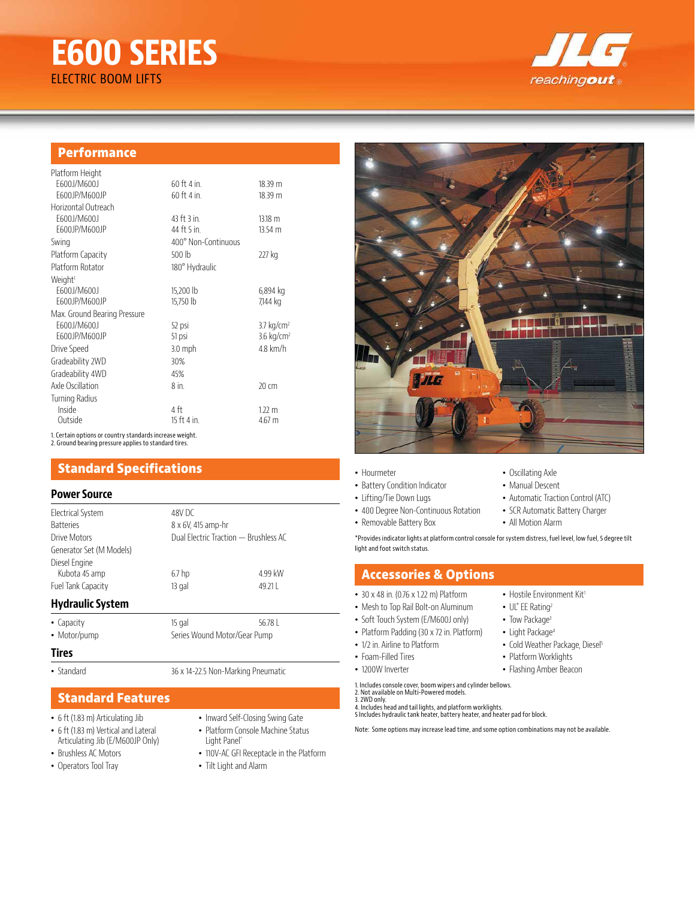# **E600 SERIES** ELECTRIC BOOM LIFTS



# **Performance**

| Platform Height              |                     |                       |
|------------------------------|---------------------|-----------------------|
| F600J/M600J                  | 60 ft 4 in.         | 18.39 m               |
| F600JP/M600JP                | 60 ft 4 in.         | 18.39 m               |
| Horizontal Outreach          |                     |                       |
| E600J/M600J                  | 43 ft 3 in.         | 13.18 m               |
| E600JP/M600JP                | 44 ft 5 in.         | 13.54 <sub>m</sub>    |
| Swing                        | 400° Non-Continuous |                       |
| Platform Capacity            | 500 lb              | 227 kg                |
| Platform Rotator             | 180° Hydraulic      |                       |
| Weight <sup>1</sup>          |                     |                       |
| E600J/M600J                  | 15,200 lb           | 6,894 kg              |
| E600JP/M600JP                | 15,750 lb           | 7,144 kg              |
| Max. Ground Bearing Pressure |                     |                       |
| E600J/M600J                  | 52 psi              | $3.7 \text{ kg/cm}^2$ |
| E600JP/M600JP                | 51 psi              | $3.6 \text{ kg/cm}^2$ |
| Drive Speed                  | 3.0 mph             | $4.8$ km/h            |
| Gradeability 2WD             | 30%                 |                       |
| Gradeability 4WD             | 45%                 |                       |
| Axle Oscillation             | 8 in.               | 20 cm                 |
| Turning Radius               |                     |                       |
| Inside                       | 4 ft                | $1.22 \text{ m}$      |
| Outside                      | 15 ft 4 in.         | 4.67 m                |
|                              |                     |                       |

1. Certain options or country standards increase weight. 2. Ground bearing pressure applies to standard tires.

# **Standard Specifications**

#### **Power Source**

| Electrical System        | 48V DC             |                                       |  |
|--------------------------|--------------------|---------------------------------------|--|
| <b>Batteries</b>         | 8 x 6V, 415 amp-hr |                                       |  |
| Drive Motors             |                    | Dual Electric Traction - Brushless AC |  |
| Generator Set (M Models) |                    |                                       |  |
| Diesel Engine            |                    |                                       |  |
| Kubota 45 amp            | 6.7 <sub>hp</sub>  | 4.99 kW                               |  |
| Fuel Tank Capacity       | 13 gal             | 49.21                                 |  |
| Hydraulic System         |                    |                                       |  |

# **Hydraulic System**

- Capacity 15 gal 56.78 L
- Motor/pump Series Wound Motor/Gear Pump

#### **Tires**

- Standard 36 x 14-22.5 Non-Marking Pneumatic
- **Standard Features**
- 6 ft (1.83 m) Articulating Jib
- 6 ft (1.83 m) Vertical and Lateral Articulating Jib (E/M600JP Only)
- Brushless AC Motors
- Operators Tool Tray
- Inward Self-Closing Swing Gate
- Platform Console Machine Status Light Panel\*
- 110V-AC GFI Receptacle in the Platform
- Tilt Light and Alarm

#### • Hourmeter • Battery Condition Indicator • Lifting/Tie Down Lugs

- 400 Degree Non-Continuous Rotation
- Removable Battery Box
- Oscillating Axle • Manual Descent
- 
- Automatic Traction Control (ATC) • SCR Automatic Battery Charger

**THE REAL PROPERTY** 

• All Motion Alarm

\*Provides indicator lights at platform control console for system distress, fuel level, low fuel, 5 degree tilt light and foot switch status.

# **Accessories & Options**

- 30 x 48 in. (0.76 x 1.22 m) Platform
- Mesh to Top Rail Bolt-on Aluminum
- Soft Touch System (E/M600J only)
- Platform Padding (30 x 72 in. Platform)
- 1/2 in. Airline to Platform
- Foam-Filled Tires
- 1200W Inverter
- 
- 

Note: Some options may increase lead time, and some option combinations may not be available.

- Hostile Environment Kit<sup>1</sup> • UL $^{\circ}$  EE Rating<sup>2</sup>
- Light Package<sup>4</sup>
- Cold Weather Package, Diesel<sup>5</sup>
- 
- Flashing Amber Beacon
- Tow Package<sup>3</sup>
	-
	-
	-
- 
- 
- 3. 2WD only. 4. Includes head and tail lights, and platform worklights. 5 Includes hydraulic tank heater, battery heater, and heater pad for block.
	-
- 
- 
- 1. Includes console cover, boom wipers and cylinder bellows. 2. Not available on Multi-Powered models.
- 
- 
- 
- Platform Worklights
	-
	-
-